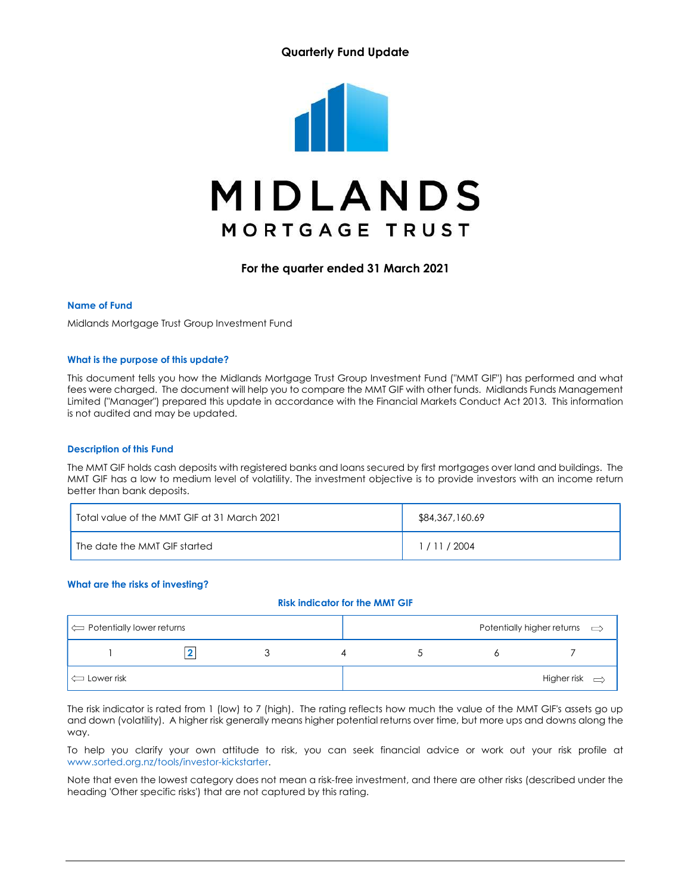## Quarterly Fund Update



For the quarter ended 31 March 2021

#### Name of Fund

Midlands Mortgage Trust Group Investment Fund

#### What is the purpose of this update?

This document tells you how the Midlands Mortgage Trust Group Investment Fund ("MMT GIF") has performed and what fees were charged. The document will help you to compare the MMT GIF with other funds. Midlands Funds Management Limited ("Manager") prepared this update in accordance with the Financial Markets Conduct Act 2013. This information is not audited and may be updated.

#### Description of this Fund

The MMT GIF holds cash deposits with registered banks and loans secured by first mortgages over land and buildings. The MMT GIF has a low to medium level of volatility. The investment objective is to provide investors with an income return better than bank deposits.

| Total value of the MMT GIF at 31 March 2021 | \$84,367,160.69 |
|---------------------------------------------|-----------------|
| I The date the MMT GIF started              | 1/11/2004       |

#### What are the risks of investing?

#### Risk indicator for the MMT GIF

| $\left\vert \right\langle \right\vert$ Potentially lower returns |  |  | Potentially higher returns $\implies$ |
|------------------------------------------------------------------|--|--|---------------------------------------|
|                                                                  |  |  |                                       |
| $\left  \right\rangle$ Lower risk                                |  |  | Higher risk $\Rightarrow$             |

The risk indicator is rated from 1 (low) to 7 (high). The rating reflects how much the value of the MMT GIF's assets go up and down (volatility). A higher risk generally means higher potential returns over time, but more ups and downs along the way.

To help you clarify your own attitude to risk, you can seek financial advice or work out your risk profile at www.sorted.org.nz/tools/investor-kickstarter.

Note that even the lowest category does not mean a risk-free investment, and there are other risks (described under the heading 'Other specific risks') that are not captured by this rating.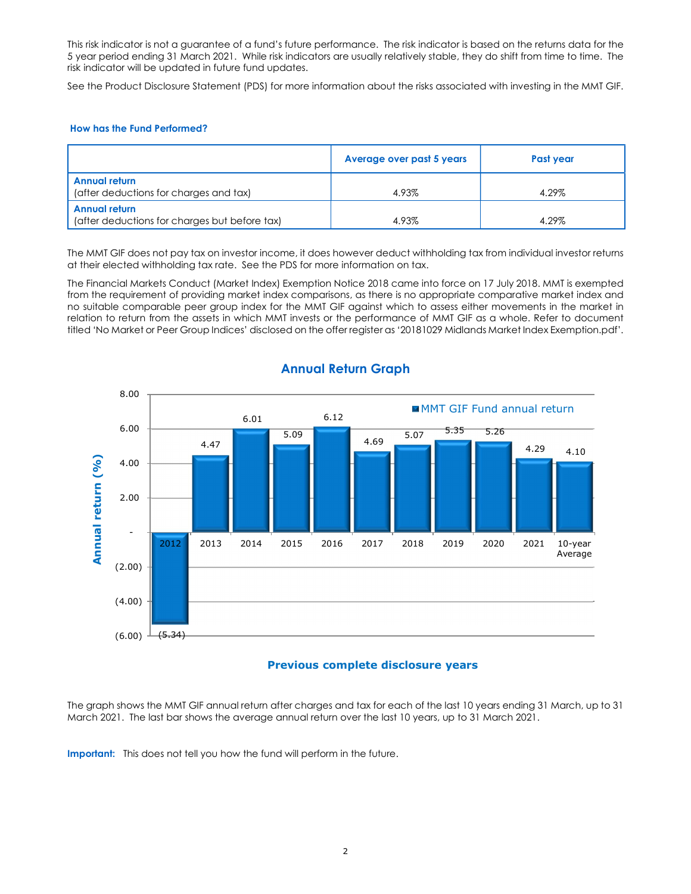This risk indicator is not a guarantee of a fund's future performance. The risk indicator is based on the returns data for the 5 year period ending 31 March 2021. While risk indicators are usually relatively stable, they do shift from time to time. The risk indicator will be updated in future fund updates.

See the Product Disclosure Statement (PDS) for more information about the risks associated with investing in the MMT GIF.

#### How has the Fund Performed?

|                                                                | Average over past 5 years | Past year |
|----------------------------------------------------------------|---------------------------|-----------|
| <b>Annual return</b><br>(after deductions for charges and tax) | 4.93%                     | 4.29%     |
| Annual return<br>(after deductions for charges but before tax) | 4.93%                     | 4.29%     |

The MMT GIF does not pay tax on investor income, it does however deduct withholding tax from individual investor returns at their elected withholding tax rate. See the PDS for more information on tax.

The Financial Markets Conduct (Market Index) Exemption Notice 2018 came into force on 17 July 2018. MMT is exempted from the requirement of providing market index comparisons, as there is no appropriate comparative market index and no suitable comparable peer group index for the MMT GIF against which to assess either movements in the market in relation to return from the assets in which MMT invests or the performance of MMT GIF as a whole. Refer to document titled 'No Market or Peer Group Indices' disclosed on the offer register as '20181029 Midlands Market Index Exemption.pdf'.



# Annual Return Graph

### Previous complete disclosure years

The graph shows the MMT GIF annual return after charges and tax for each of the last 10 years ending 31 March, up to 31 March 2021. The last bar shows the average annual return over the last 10 years, up to 31 March 2021.

Important: This does not tell you how the fund will perform in the future.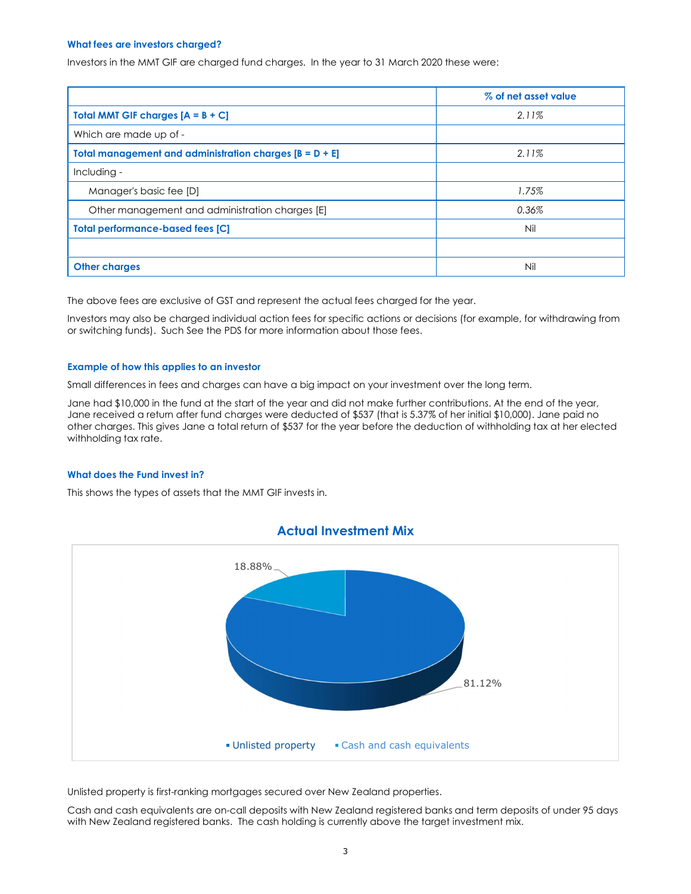#### What fees are investors charged?

Investors in the MMT GIF are charged fund charges. In the year to 31 March 2020 these were:

|                                                           | % of net asset value |
|-----------------------------------------------------------|----------------------|
| <b>Total MMT GIF charges <math>[A = B + C]</math></b>     | 2.11%                |
| Which are made up of -                                    |                      |
| Total management and administration charges $[B = D + E]$ | 2.11%                |
| Including -                                               |                      |
| Manager's basic fee [D]                                   | 1.75%                |
| Other management and administration charges [E]           | 0.36%                |
| <b>Total performance-based fees [C]</b>                   | Nil                  |
|                                                           |                      |
| <b>Other charges</b>                                      | Nil                  |

The above fees are exclusive of GST and represent the actual fees charged for the year.

Investors may also be charged individual action fees for specific actions or decisions (for example, for withdrawing from or switching funds). Such See the PDS for more information about those fees.

#### Example of how this applies to an investor

Small differences in fees and charges can have a big impact on your investment over the long term.

Jane had \$10,000 in the fund at the start of the year and did not make further contributions. At the end of the year, Jane received a return after fund charges were deducted of \$537 (that is 5.37% of her initial \$10,000). Jane paid no other charges. This gives Jane a total return of \$537 for the year before the deduction of withholding tax at her elected withholding tax rate.

#### What does the Fund invest in?

This shows the types of assets that the MMT GIF invests in.



Unlisted property is first-ranking mortgages secured over New Zealand properties.

Cash and cash equivalents are on-call deposits with New Zealand registered banks and term deposits of under 95 days with New Zealand registered banks. The cash holding is currently above the target investment mix.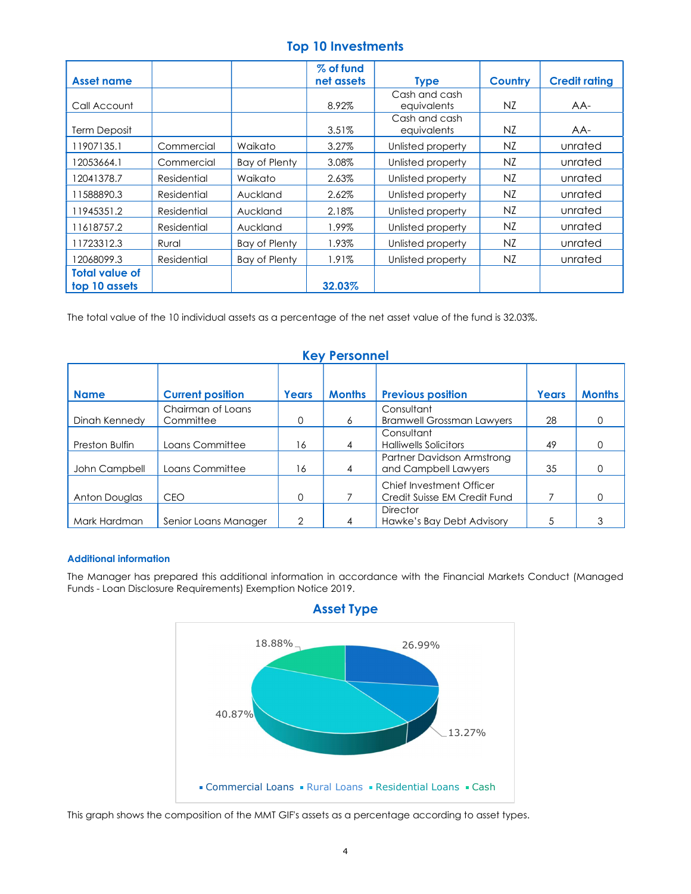# Top 10 Investments

|                       |             |                      | % of fund  |                   |                |                      |
|-----------------------|-------------|----------------------|------------|-------------------|----------------|----------------------|
| <b>Asset name</b>     |             |                      | net assets | <b>Type</b>       | <b>Country</b> | <b>Credit rating</b> |
|                       |             |                      |            | Cash and cash     |                |                      |
| Call Account          |             |                      | 8.92%      | equivalents       | NZ             | $AA-$                |
|                       |             |                      |            | Cash and cash     |                |                      |
| <b>Term Deposit</b>   |             |                      | 3.51%      | equivalents       | NZ             | AA-                  |
| 11907135.1            | Commercial  | Waikato              | 3.27%      | Unlisted property | NZ             | unrated              |
| 12053664.1            | Commercial  | Bay of Plenty        | 3.08%      | Unlisted property | NZ             | unrated              |
| 12041378.7            | Residential | Waikato              | 2.63%      | Unlisted property | NZ             | unrated              |
| 11588890.3            | Residential | Auckland             | 2.62%      | Unlisted property | NZ             | unrated              |
| 11945351.2            | Residential | Auckland             | 2.18%      | Unlisted property | NZ             | unrated              |
| 11618757.2            | Residential | Auckland             | 1.99%      | Unlisted property | NZ             | unrated              |
| 11723312.3            | Rural       | Bay of Plenty        | 1.93%      | Unlisted property | NZ             | unrated              |
| 12068099.3            | Residential | <b>Bay of Plenty</b> | 1.91%      | Unlisted property | NZ             | unrated              |
| <b>Total value of</b> |             |                      |            |                   |                |                      |
| top 10 assets         |             |                      | 32.03%     |                   |                |                      |

The total value of the 10 individual assets as a percentage of the net asset value of the fund is 32.03%.

| <b>VEAT CISAINER</b> |                         |          |               |                                                          |       |               |  |
|----------------------|-------------------------|----------|---------------|----------------------------------------------------------|-------|---------------|--|
| <b>Name</b>          | <b>Current position</b> | Years    | <b>Months</b> | <b>Previous position</b>                                 | Years | <b>Months</b> |  |
|                      | Chairman of Loans       |          |               | Consultant                                               |       |               |  |
| Dinah Kennedy        | Committee               | 0        | 6             | <b>Bramwell Grossman Lawyers</b>                         | 28    | 0             |  |
|                      |                         |          |               | Consultant                                               |       |               |  |
| Preston Bulfin       | Loans Committee         | 16       | 4             | <b>Halliwells Solicitors</b>                             | 49    | $\Omega$      |  |
| John Campbell        | Loans Committee         | 16       | 4             | Partner Davidson Armstrong<br>and Campbell Lawyers       | 35    | 0             |  |
| Anton Douglas        | <b>CEO</b>              | $\Omega$ |               | Chief Investment Officer<br>Credit Suisse EM Credit Fund |       | 0             |  |
|                      |                         |          |               | <b>Director</b>                                          |       |               |  |
| Mark Hardman         | Senior Loans Manager    | 2        |               | Hawke's Bay Debt Advisory                                |       | 3             |  |

# Key Personnel

### Additional information

The Manager has prepared this additional information in accordance with the Financial Markets Conduct (Managed Funds - Loan Disclosure Requirements) Exemption Notice 2019.





This graph shows the composition of the MMT GIF's assets as a percentage according to asset types.